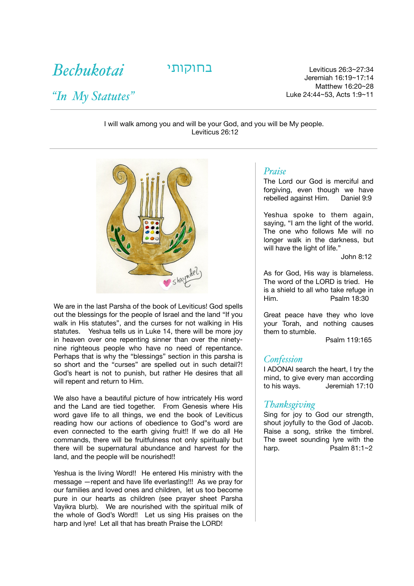*Bechukotai* 

*"In My Statutes"*

27:34~26:3 Leviticus בחוקותי Jeremiah 16:19~17:14 Matthew 16:20~28 Luke 24:44~53, Acts 1:9~11

I will walk among you and will be your God, and you will be My people. Leviticus 26:12



We are in the last Parsha of the book of Leviticus! God spells out the blessings for the people of Israel and the land "If you walk in His statutes", and the curses for not walking in His statutes. Yeshua tells us in Luke 14, there will be more joy in heaven over one repenting sinner than over the ninetynine righteous people who have no need of repentance. Perhaps that is why the "blessings" section in this parsha is so short and the "curses" are spelled out in such detail?! God's heart is not to punish, but rather He desires that all will repent and return to Him.

We also have a beautiful picture of how intricately His word and the Land are tied together. From Genesis where His word gave life to all things, we end the book of Leviticus reading how our actions of obedience to God"s word are even connected to the earth giving fruit!! If we do all He commands, there will be fruitfulness not only spiritually but there will be supernatural abundance and harvest for the land, and the people will be nourished!!

Yeshua is the living Word!! He entered His ministry with the message —repent and have life everlasting!!! As we pray for our families and loved ones and children, let us too become pure in our hearts as children (see prayer sheet Parsha Vayikra blurb). We are nourished with the spiritual milk of the whole of God's Word!! Let us sing His praises on the harp and lyre! Let all that has breath Praise the LORD!

# *Praise*

The Lord our God is merciful and forgiving, even though we have rebelled against Him. Daniel 9:9

Yeshua spoke to them again, saying, "I am the light of the world. The one who follows Me will no longer walk in the darkness, but will have the light of life."

John 8:12

As for God, His way is blameless. The word of the LORD is tried. He is a shield to all who take refuge in Him. Psalm 18:30

Great peace have they who love your Torah, and nothing causes them to stumble.

Psalm 119:165

#### *Confession*

I ADONAI search the heart, I try the mind, to give every man according to his ways. Jeremiah 17:10

#### *Thanksgiving*

Sing for joy to God our strength, shout joyfully to the God of Jacob. Raise a song, strike the timbrel. The sweet sounding lyre with the harp.  $\overline{P}$  Psalm 81:1~2